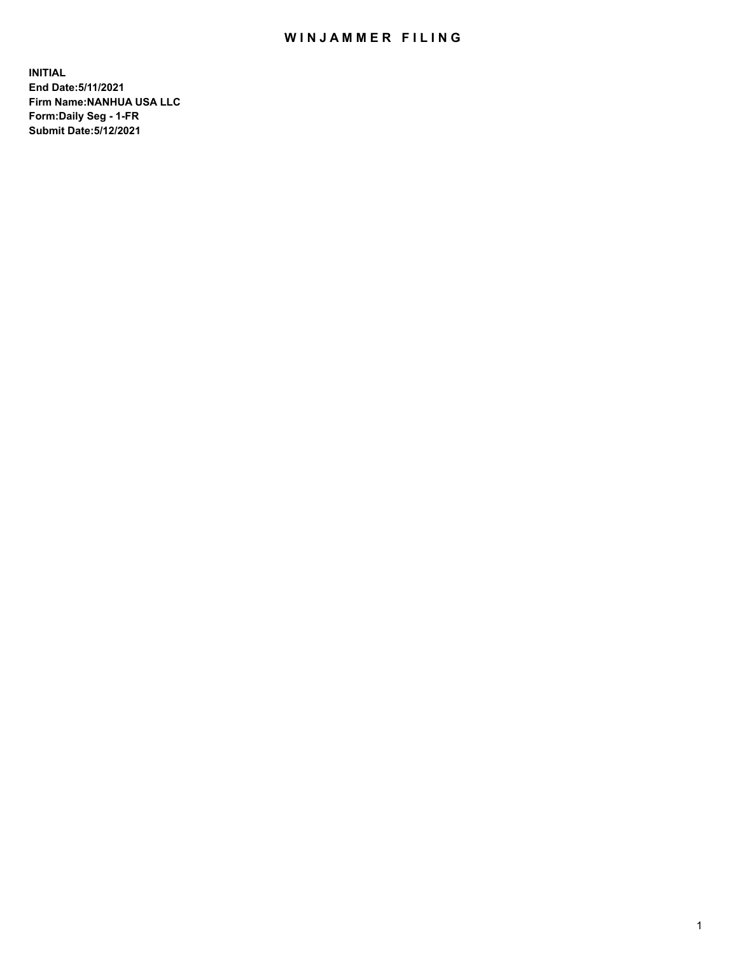# WIN JAMMER FILING

**INITIAL End Date:5/11/2021 Firm Name:NANHUA USA LLC Form:Daily Seg - 1-FR Submit Date:5/12/2021**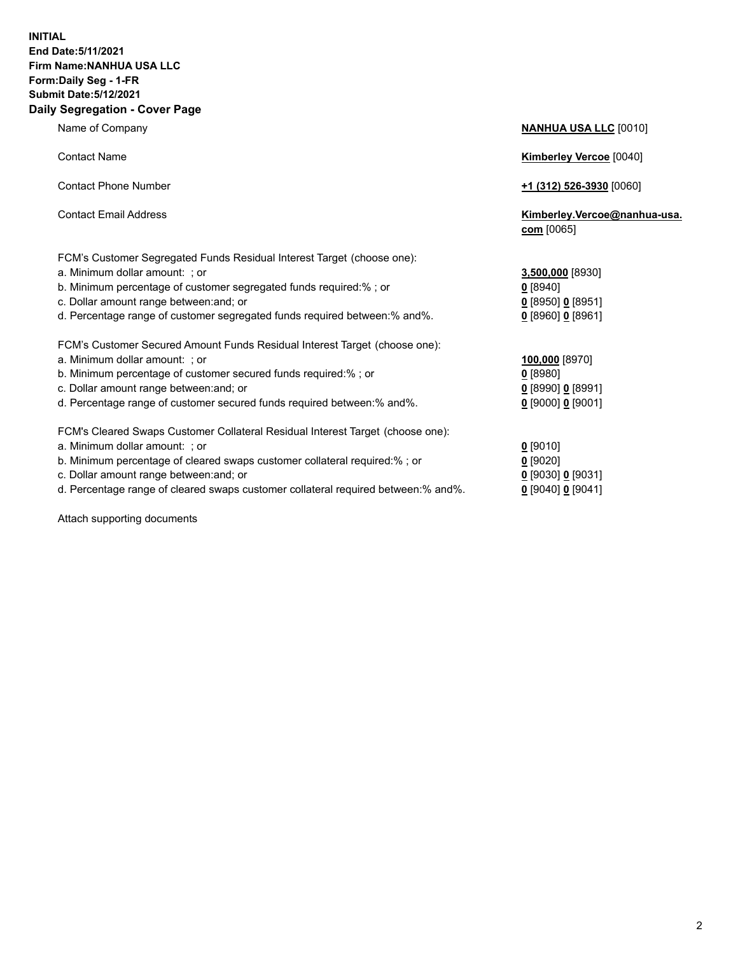### **INITIAL End Date:5/11/2021 Firm Name:NANHUA USA LLC Form:Daily Seg - 1-FR Submit Date:5/12/2021 Daily Segregation - Cover Page**

Name of Company **NANHUA USA LLC** [0010] Contact Name **Kimberley Vercoe** [0040] Contact Phone Number **+1 (312) 526-3930** [0060]

FCM's Customer Segregated Funds Residual Interest Target (choose one):

- a. Minimum dollar amount: ; or
- b. Minimum percentage of customer segregated funds required:% ; or
- c. Dollar amount range between: and; or
- d. Percentage range of customer segregated funds required between:% and%.

FCM's Customer Secured Amount Funds Residual Interest Target (choose one):

- a. Minimum dollar amount: ; or
- b. Minimum percentage of customer secured funds required:% ; or
- c. Dollar amount range between: and; or
- d. Percentage range of customer secured funds required between:% and%.

FCM's Cleared Swaps Customer Collateral Residual Interest Target (choose one):

- a. Minimum dollar amount: ; or **0 g**
- b. Minimum percentage of cleared swaps customer collateral required:% ; or **0**
- c. Dollar amount range between:and; or **0** [9030] **0** [9031]
- d. Percentage range of cleared swaps customer collateral required between:% and%. **0** [904]

Attach supporting documents

Contact Email Address **Kimberley.Vercoe@nanhua-usa. com** [0065]

|            | 3,500,000 [8930]  |
|------------|-------------------|
| $0$ [8940] |                   |
|            | 0 [8950] 0 [8951] |
|            | 0 [8960] 0 [8961] |

| 100,000 [8970]                  |  |  |  |  |
|---------------------------------|--|--|--|--|
| 0 [8980]                        |  |  |  |  |
| <u>0</u> [8990] <u>0</u> [8991] |  |  |  |  |
| <u>0</u> [9000] <u>0</u> [9001] |  |  |  |  |

| [9010]                 |
|------------------------|
| [9020]                 |
| [9030] <b>0</b> [9031] |
| [9040] <u>0</u> [9041] |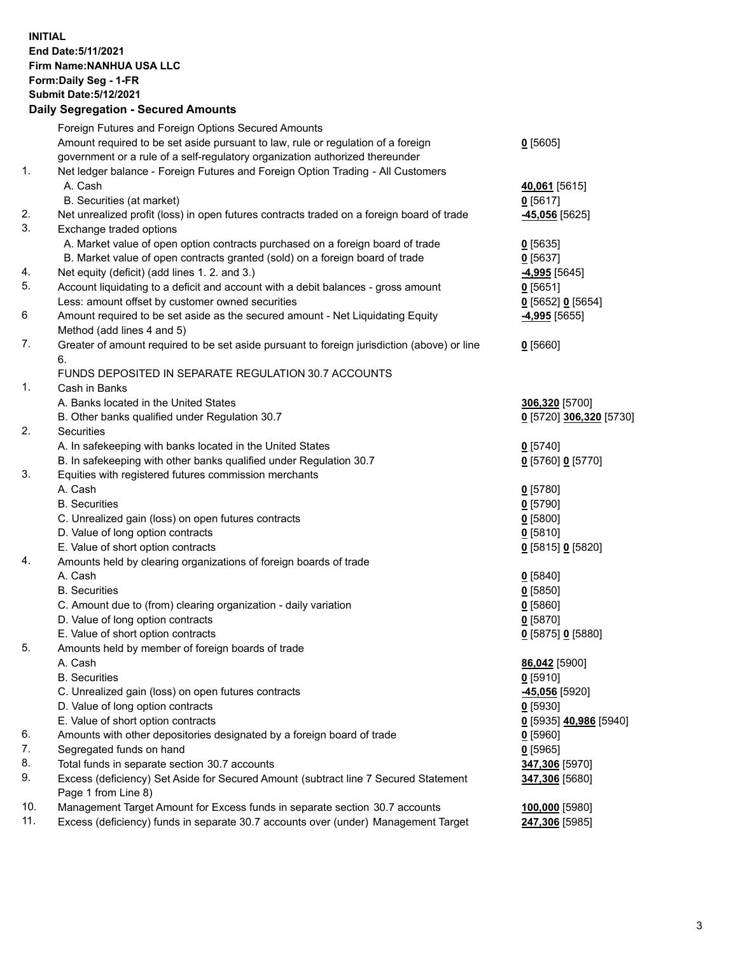## **INITIAL End Date:5/11/2021 Firm Name:NANHUA USA LLC Form:Daily Seg - 1-FR Submit Date:5/12/2021 Daily Segregation - Secured Amounts**

|                | Foreign Futures and Foreign Options Secured Amounts                                                        |                               |
|----------------|------------------------------------------------------------------------------------------------------------|-------------------------------|
|                | Amount required to be set aside pursuant to law, rule or regulation of a foreign                           | $0$ [5605]                    |
|                | government or a rule of a self-regulatory organization authorized thereunder                               |                               |
| $\mathbf{1}$ . | Net ledger balance - Foreign Futures and Foreign Option Trading - All Customers                            |                               |
|                | A. Cash                                                                                                    | 40,061 [5615]                 |
|                | B. Securities (at market)                                                                                  | $0$ [5617]                    |
| 2.             | Net unrealized profit (loss) in open futures contracts traded on a foreign board of trade                  | -45,056 [5625]                |
| 3.             | Exchange traded options                                                                                    |                               |
|                | A. Market value of open option contracts purchased on a foreign board of trade                             | $0$ [5635]                    |
|                | B. Market value of open contracts granted (sold) on a foreign board of trade                               | $0$ [5637]                    |
| 4.             | Net equity (deficit) (add lines 1. 2. and 3.)                                                              | <b>-4,995</b> [5645]          |
| 5.             | Account liquidating to a deficit and account with a debit balances - gross amount                          | $0$ [5651]                    |
|                | Less: amount offset by customer owned securities                                                           | $0$ [5652] $0$ [5654]         |
| 6              | Amount required to be set aside as the secured amount - Net Liquidating Equity                             | <b>-4,995</b> [5655]          |
|                | Method (add lines 4 and 5)                                                                                 |                               |
| 7.             | Greater of amount required to be set aside pursuant to foreign jurisdiction (above) or line                | $0$ [5660]                    |
|                | 6.                                                                                                         |                               |
|                | FUNDS DEPOSITED IN SEPARATE REGULATION 30.7 ACCOUNTS                                                       |                               |
| $\mathbf{1}$ . | Cash in Banks                                                                                              |                               |
|                | A. Banks located in the United States                                                                      | 306,320 [5700]                |
|                | B. Other banks qualified under Regulation 30.7                                                             | 0 [5720] 306,320 [5730]       |
| 2.             | <b>Securities</b>                                                                                          |                               |
|                | A. In safekeeping with banks located in the United States                                                  | $0$ [5740]                    |
|                | B. In safekeeping with other banks qualified under Regulation 30.7                                         | 0 [5760] 0 [5770]             |
| 3.             | Equities with registered futures commission merchants                                                      |                               |
|                | A. Cash                                                                                                    | $0$ [5780]                    |
|                | <b>B.</b> Securities                                                                                       | $0$ [5790]                    |
|                | C. Unrealized gain (loss) on open futures contracts                                                        | $0$ [5800]                    |
|                | D. Value of long option contracts                                                                          | $0$ [5810]                    |
|                | E. Value of short option contracts                                                                         | 0 [5815] 0 [5820]             |
| 4.             | Amounts held by clearing organizations of foreign boards of trade                                          |                               |
|                | A. Cash                                                                                                    | $0$ [5840]                    |
|                | <b>B.</b> Securities                                                                                       | $0$ [5850]                    |
|                | C. Amount due to (from) clearing organization - daily variation                                            | $0$ [5860]                    |
|                | D. Value of long option contracts                                                                          | $0$ [5870]                    |
|                | E. Value of short option contracts                                                                         | 0 [5875] 0 [5880]             |
| 5.             | Amounts held by member of foreign boards of trade                                                          |                               |
|                | A. Cash                                                                                                    | 86,042 [5900]                 |
|                | <b>B.</b> Securities                                                                                       | $0$ [5910]                    |
|                | C. Unrealized gain (loss) on open futures contracts                                                        | -45,056 [5920]                |
|                | D. Value of long option contracts                                                                          | $0$ [5930]                    |
|                | E. Value of short option contracts                                                                         | 0 [5935] <b>40,986</b> [5940] |
| 6.             | Amounts with other depositories designated by a foreign board of trade                                     | $0$ [5960]                    |
| 7.             | Segregated funds on hand                                                                                   | $0$ [5965]                    |
| 8.             | Total funds in separate section 30.7 accounts                                                              | 347,306 [5970]                |
| 9.             | Excess (deficiency) Set Aside for Secured Amount (subtract line 7 Secured Statement<br>Page 1 from Line 8) | 347,306 [5680]                |
| 10.            | Management Target Amount for Excess funds in separate section 30.7 accounts                                | 100,000 [5980]                |
| 11.            | Excess (deficiency) funds in separate 30.7 accounts over (under) Management Target                         | 247,306 [5985]                |
|                |                                                                                                            |                               |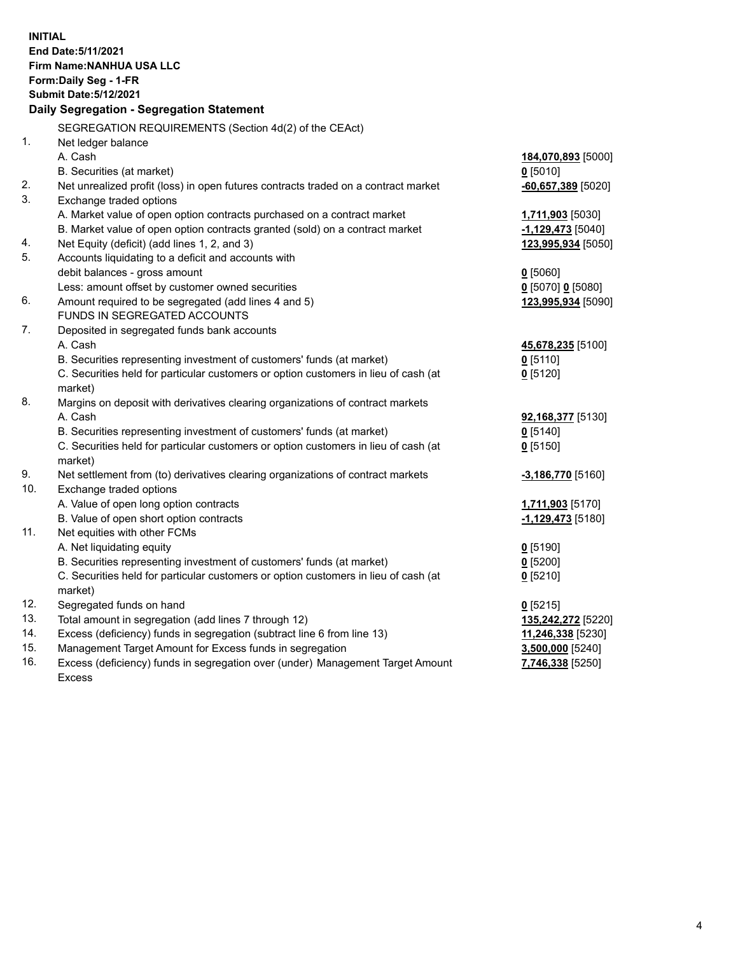| <b>INITIAL</b> | End Date: 5/11/2021<br>Firm Name: NANHUA USA LLC                                    |                          |
|----------------|-------------------------------------------------------------------------------------|--------------------------|
|                | Form: Daily Seg - 1-FR                                                              |                          |
|                | <b>Submit Date: 5/12/2021</b>                                                       |                          |
|                | Daily Segregation - Segregation Statement                                           |                          |
|                | SEGREGATION REQUIREMENTS (Section 4d(2) of the CEAct)                               |                          |
| 1.             | Net ledger balance                                                                  |                          |
|                | A. Cash                                                                             | 184,070,893 [5000]       |
|                | B. Securities (at market)                                                           | $0$ [5010]               |
| 2.             | Net unrealized profit (loss) in open futures contracts traded on a contract market  | $-60,657,389$ [5020]     |
| 3.             | Exchange traded options                                                             |                          |
|                | A. Market value of open option contracts purchased on a contract market             | <u>1,711,903</u> [5030]  |
|                | B. Market value of open option contracts granted (sold) on a contract market        | $-1,129,473$ [5040]      |
| 4.             | Net Equity (deficit) (add lines 1, 2, and 3)                                        | 123,995,934 [5050]       |
| 5.             | Accounts liquidating to a deficit and accounts with                                 |                          |
|                | debit balances - gross amount                                                       | $0$ [5060]               |
|                | Less: amount offset by customer owned securities                                    | 0 [5070] 0 [5080]        |
| 6.             | Amount required to be segregated (add lines 4 and 5)                                | 123,995,934 [5090]       |
|                | FUNDS IN SEGREGATED ACCOUNTS                                                        |                          |
| 7.             | Deposited in segregated funds bank accounts                                         |                          |
|                | A. Cash                                                                             | 45,678,235 [5100]        |
|                | B. Securities representing investment of customers' funds (at market)               | $0$ [5110]               |
|                | C. Securities held for particular customers or option customers in lieu of cash (at | $0$ [5120]               |
|                | market)                                                                             |                          |
| 8.             | Margins on deposit with derivatives clearing organizations of contract markets      |                          |
|                | A. Cash                                                                             | <b>92,168,377</b> [5130] |
|                | B. Securities representing investment of customers' funds (at market)               | $0$ [5140]               |
|                | C. Securities held for particular customers or option customers in lieu of cash (at | $0$ [5150]               |
|                | market)                                                                             |                          |
| 9.             | Net settlement from (to) derivatives clearing organizations of contract markets     | -3,186,770 [5160]        |
| 10.            | Exchange traded options                                                             |                          |
|                | A. Value of open long option contracts                                              | 1,711,903 [5170]         |
|                | B. Value of open short option contracts                                             | -1,129,473 [5180]        |
| 11.            | Net equities with other FCMs                                                        |                          |
|                | A. Net liquidating equity                                                           | $0$ [5190]               |
|                | B. Securities representing investment of customers' funds (at market)               | $0$ [5200]               |
|                | C. Securities held for particular customers or option customers in lieu of cash (at | $0$ [5210]               |
|                | market)                                                                             |                          |
| 12.            | Segregated funds on hand                                                            | $0$ [5215]               |
| 13.            | Total amount in segregation (add lines 7 through 12)                                | 135,242,272 [5220]       |
| 14.            | Excess (deficiency) funds in segregation (subtract line 6 from line 13)             | 11,246,338 [5230]        |
| 15.            | Management Target Amount for Excess funds in segregation                            | 3,500,000 [5240]         |
| 16.            | Excess (deficiency) funds in segregation over (under) Management Target Amount      | 7,746,338 [5250]         |
|                | <b>Excess</b>                                                                       |                          |